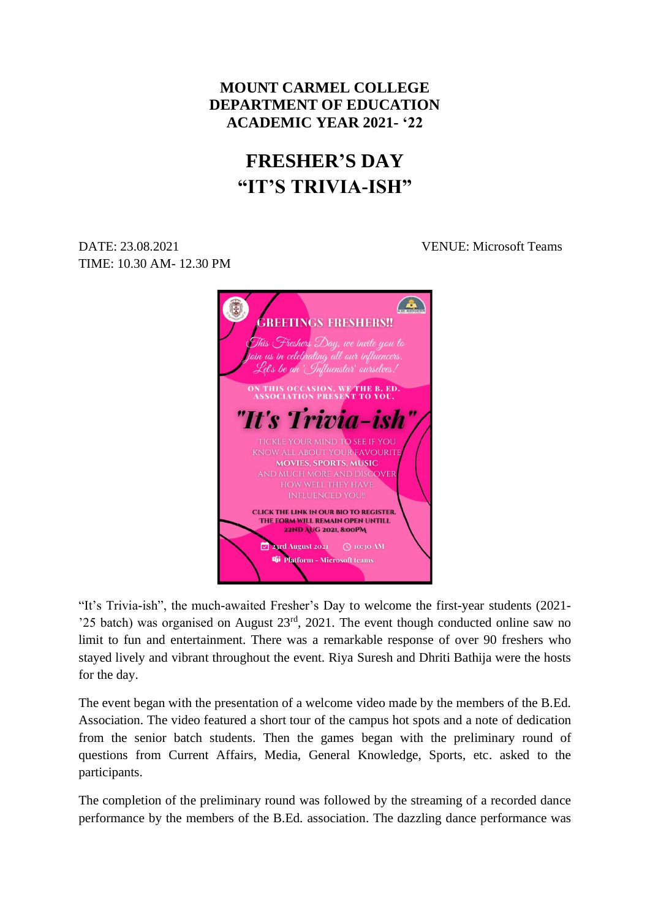## **MOUNT CARMEL COLLEGE DEPARTMENT OF EDUCATION ACADEMIC YEAR 2021- '22**

## **FRESHER'S DAY "IT'S TRIVIA-ISH"**

DATE: 23.08.2021 VENUE: Microsoft Teams TIME: 10.30 AM- 12.30 PM

> A **GREETINGS FRESHERS!!** .<br>This Freshers Day, we invite you to ioin us in celebrating all our influencers. Let's be an 'Influenstar' ourselves? THIS OCCASION, WE THE B. ED.<br>SSOCIATION PRESENT TO YOU. "It's Trivia-ish **TIGKLE YOUR MIND TO SEE IF YOU KNOW ALL ABOUT YOUR FAVOURITE MOVIES, SPORTS, MUSIC** AND MUCH MORE AND DISCOVER **CLICK THE LINK IN OUR BIO TO REGISTER.** THE FORM WILL REMAIN OPEN UNTILL 22ND AUG 2021, 8:00PM M Di Platform - Microsoft teams

"It's Trivia-ish", the much-awaited Fresher's Day to welcome the first-year students (2021- '25 batch) was organised on August  $23<sup>rd</sup>$ , 2021. The event though conducted online saw no limit to fun and entertainment. There was a remarkable response of over 90 freshers who stayed lively and vibrant throughout the event. Riya Suresh and Dhriti Bathija were the hosts for the day.

The event began with the presentation of a welcome video made by the members of the B.Ed. Association. The video featured a short tour of the campus hot spots and a note of dedication from the senior batch students. Then the games began with the preliminary round of questions from Current Affairs, Media, General Knowledge, Sports, etc. asked to the participants.

The completion of the preliminary round was followed by the streaming of a recorded dance performance by the members of the B.Ed. association. The dazzling dance performance was